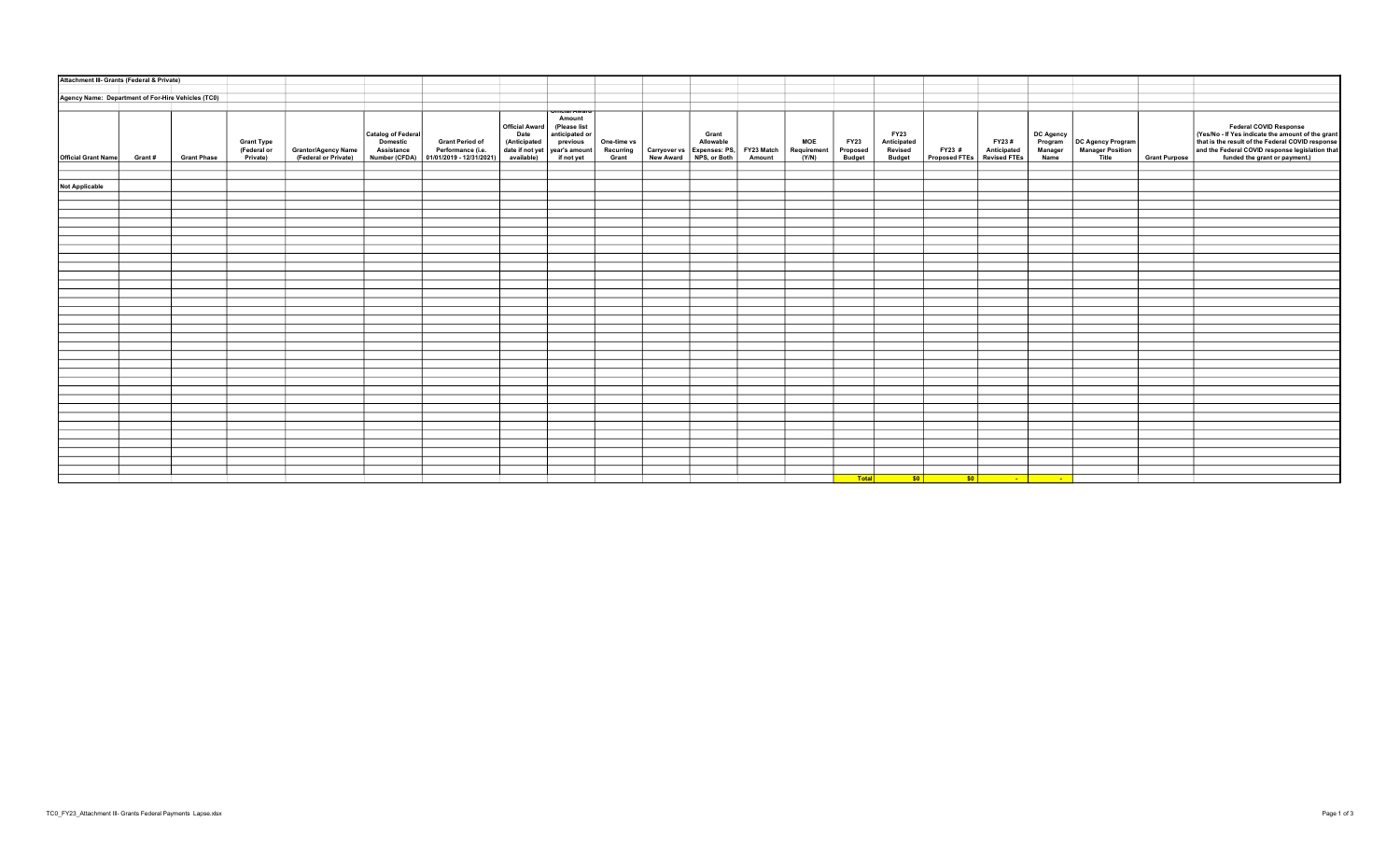| Attachment III- Grants (Federal & Private)         |        |                    |                                  |                                             |                                |                                                                                   |                                                           |                                                                                            |                          |                                                                        |                    |                           |                         |                                       |                              |                                                                                                                      |                                 |                                              |                      |                                                                                                                                                                                    |
|----------------------------------------------------|--------|--------------------|----------------------------------|---------------------------------------------|--------------------------------|-----------------------------------------------------------------------------------|-----------------------------------------------------------|--------------------------------------------------------------------------------------------|--------------------------|------------------------------------------------------------------------|--------------------|---------------------------|-------------------------|---------------------------------------|------------------------------|----------------------------------------------------------------------------------------------------------------------|---------------------------------|----------------------------------------------|----------------------|------------------------------------------------------------------------------------------------------------------------------------------------------------------------------------|
|                                                    |        |                    |                                  |                                             |                                |                                                                                   |                                                           |                                                                                            |                          |                                                                        |                    |                           |                         |                                       |                              |                                                                                                                      |                                 |                                              |                      |                                                                                                                                                                                    |
| Agency Name: Department of For-Hire Vehicles (TC0) |        |                    |                                  |                                             |                                |                                                                                   |                                                           |                                                                                            |                          |                                                                        |                    |                           |                         |                                       |                              |                                                                                                                      |                                 |                                              |                      |                                                                                                                                                                                    |
|                                                    |        |                    | <b>Grant Type</b><br>(Federal or | Grantor/Agency Name<br>(Federal or Private) | Catalog of Federal<br>Domestic | <b>Grant Period of</b><br>Assistance Performance (i.e.   01/01/2019 - 12/31/2021) | Official Award<br>Date<br>(Anticipated<br>date if not yet | <b>INTEL AVEC</b><br>Amount<br>(Please list<br>anticipated or<br>previous<br>year's amount | One-time vs<br>Recurring | Carryover vs Expenses: PS, FY23 Match<br>New Award NPS, or Both Amount | Grant<br>Allowable | <b>MOE</b><br>Requirement | <b>FY23</b><br>Proposed | <b>FY23</b><br>Anticipated<br>Revised | FY23 #                       | FY23#<br>Anticipated                                                                                                 | DC Agency<br>Program<br>Manager | <b>DC Agency Program</b><br>Manager Position |                      | Federal COVID Response<br>(Yes/No - If Yes indicate the amount of the grant<br>that is the result of the Federal COVID response<br>and the Federal COVID response legislation that |
| Official Grant Name                                | Grant# | <b>Grant Phase</b> | Private)                         |                                             |                                |                                                                                   | available)                                                | if not yet                                                                                 | Grant                    |                                                                        |                    | (Y/N)                     | <b>Budget</b>           | <b>Budget</b>                         | Proposed FTEs   Revised FTEs |                                                                                                                      | Name                            | Title                                        | <b>Grant Purpose</b> | funded the grant or payment.)                                                                                                                                                      |
|                                                    |        |                    |                                  |                                             |                                |                                                                                   |                                                           |                                                                                            |                          |                                                                        |                    |                           |                         |                                       |                              |                                                                                                                      |                                 |                                              |                      |                                                                                                                                                                                    |
| <b>Not Applicable</b>                              |        |                    |                                  |                                             |                                |                                                                                   |                                                           |                                                                                            |                          |                                                                        |                    |                           |                         |                                       |                              |                                                                                                                      |                                 |                                              |                      |                                                                                                                                                                                    |
|                                                    |        |                    |                                  |                                             |                                |                                                                                   |                                                           |                                                                                            |                          |                                                                        |                    |                           |                         |                                       |                              |                                                                                                                      |                                 |                                              |                      |                                                                                                                                                                                    |
|                                                    |        |                    |                                  |                                             |                                |                                                                                   |                                                           |                                                                                            |                          |                                                                        |                    |                           |                         |                                       |                              |                                                                                                                      |                                 |                                              |                      |                                                                                                                                                                                    |
|                                                    |        |                    |                                  |                                             |                                |                                                                                   |                                                           |                                                                                            |                          |                                                                        |                    |                           |                         |                                       |                              |                                                                                                                      |                                 |                                              |                      |                                                                                                                                                                                    |
|                                                    |        |                    |                                  |                                             |                                |                                                                                   |                                                           |                                                                                            |                          |                                                                        |                    |                           |                         |                                       |                              |                                                                                                                      |                                 |                                              |                      |                                                                                                                                                                                    |
|                                                    |        |                    |                                  |                                             |                                |                                                                                   |                                                           |                                                                                            |                          |                                                                        |                    |                           |                         |                                       |                              |                                                                                                                      |                                 |                                              |                      |                                                                                                                                                                                    |
|                                                    |        |                    |                                  |                                             |                                |                                                                                   |                                                           |                                                                                            |                          |                                                                        |                    |                           |                         |                                       |                              |                                                                                                                      |                                 |                                              |                      |                                                                                                                                                                                    |
|                                                    |        |                    |                                  |                                             |                                |                                                                                   |                                                           |                                                                                            |                          |                                                                        |                    |                           |                         |                                       |                              |                                                                                                                      |                                 |                                              |                      |                                                                                                                                                                                    |
|                                                    |        |                    |                                  |                                             |                                |                                                                                   |                                                           |                                                                                            |                          |                                                                        |                    |                           |                         |                                       |                              |                                                                                                                      |                                 |                                              |                      |                                                                                                                                                                                    |
|                                                    |        |                    |                                  |                                             |                                |                                                                                   |                                                           |                                                                                            |                          |                                                                        |                    |                           |                         |                                       |                              |                                                                                                                      |                                 |                                              |                      |                                                                                                                                                                                    |
|                                                    |        |                    |                                  |                                             |                                |                                                                                   |                                                           |                                                                                            |                          |                                                                        |                    |                           |                         |                                       |                              |                                                                                                                      |                                 |                                              |                      |                                                                                                                                                                                    |
|                                                    |        |                    |                                  |                                             |                                |                                                                                   |                                                           |                                                                                            |                          |                                                                        |                    |                           |                         |                                       |                              |                                                                                                                      |                                 |                                              |                      |                                                                                                                                                                                    |
|                                                    |        |                    |                                  |                                             |                                |                                                                                   |                                                           |                                                                                            |                          |                                                                        |                    |                           |                         |                                       |                              |                                                                                                                      |                                 |                                              |                      |                                                                                                                                                                                    |
|                                                    |        |                    |                                  |                                             |                                |                                                                                   |                                                           |                                                                                            |                          |                                                                        |                    |                           |                         |                                       |                              |                                                                                                                      |                                 |                                              |                      |                                                                                                                                                                                    |
|                                                    |        |                    |                                  |                                             |                                |                                                                                   |                                                           |                                                                                            |                          |                                                                        |                    |                           |                         |                                       |                              |                                                                                                                      |                                 |                                              |                      |                                                                                                                                                                                    |
|                                                    |        |                    |                                  |                                             |                                |                                                                                   |                                                           |                                                                                            |                          |                                                                        |                    |                           |                         |                                       |                              |                                                                                                                      |                                 |                                              |                      |                                                                                                                                                                                    |
|                                                    |        |                    |                                  |                                             |                                |                                                                                   |                                                           |                                                                                            |                          |                                                                        |                    |                           |                         |                                       |                              |                                                                                                                      |                                 |                                              |                      |                                                                                                                                                                                    |
|                                                    |        |                    |                                  |                                             |                                |                                                                                   |                                                           |                                                                                            |                          |                                                                        |                    |                           |                         |                                       |                              |                                                                                                                      |                                 |                                              |                      |                                                                                                                                                                                    |
|                                                    |        |                    |                                  |                                             |                                |                                                                                   |                                                           |                                                                                            |                          |                                                                        |                    |                           |                         |                                       |                              |                                                                                                                      |                                 |                                              |                      |                                                                                                                                                                                    |
|                                                    |        |                    |                                  |                                             |                                |                                                                                   |                                                           |                                                                                            |                          |                                                                        |                    |                           |                         |                                       |                              |                                                                                                                      |                                 |                                              |                      |                                                                                                                                                                                    |
|                                                    |        |                    |                                  |                                             |                                |                                                                                   |                                                           |                                                                                            |                          |                                                                        |                    |                           |                         |                                       |                              |                                                                                                                      |                                 |                                              |                      |                                                                                                                                                                                    |
|                                                    |        |                    |                                  |                                             |                                |                                                                                   |                                                           |                                                                                            |                          |                                                                        |                    |                           |                         |                                       |                              |                                                                                                                      |                                 |                                              |                      |                                                                                                                                                                                    |
|                                                    |        |                    |                                  |                                             |                                |                                                                                   |                                                           |                                                                                            |                          |                                                                        |                    |                           |                         |                                       |                              |                                                                                                                      |                                 |                                              |                      |                                                                                                                                                                                    |
|                                                    |        |                    |                                  |                                             |                                |                                                                                   |                                                           |                                                                                            |                          |                                                                        |                    |                           |                         |                                       |                              |                                                                                                                      |                                 |                                              |                      |                                                                                                                                                                                    |
|                                                    |        |                    |                                  |                                             |                                |                                                                                   |                                                           |                                                                                            |                          |                                                                        |                    |                           |                         |                                       |                              |                                                                                                                      |                                 |                                              |                      |                                                                                                                                                                                    |
|                                                    |        |                    |                                  |                                             |                                |                                                                                   |                                                           |                                                                                            |                          |                                                                        |                    |                           |                         |                                       |                              |                                                                                                                      |                                 |                                              |                      |                                                                                                                                                                                    |
|                                                    |        |                    |                                  |                                             |                                |                                                                                   |                                                           |                                                                                            |                          |                                                                        |                    |                           |                         |                                       |                              |                                                                                                                      |                                 |                                              |                      |                                                                                                                                                                                    |
|                                                    |        |                    |                                  |                                             |                                |                                                                                   |                                                           |                                                                                            |                          |                                                                        |                    |                           |                         |                                       |                              |                                                                                                                      |                                 |                                              |                      |                                                                                                                                                                                    |
|                                                    |        |                    |                                  |                                             |                                |                                                                                   |                                                           |                                                                                            |                          |                                                                        |                    |                           |                         |                                       |                              |                                                                                                                      |                                 |                                              |                      |                                                                                                                                                                                    |
|                                                    |        |                    |                                  |                                             |                                |                                                                                   |                                                           |                                                                                            |                          |                                                                        |                    |                           |                         |                                       |                              |                                                                                                                      |                                 |                                              |                      |                                                                                                                                                                                    |
|                                                    |        |                    |                                  |                                             |                                |                                                                                   |                                                           |                                                                                            |                          |                                                                        |                    |                           |                         |                                       |                              |                                                                                                                      |                                 |                                              |                      |                                                                                                                                                                                    |
|                                                    |        |                    |                                  |                                             |                                |                                                                                   |                                                           |                                                                                            |                          |                                                                        |                    |                           | Total                   | $ $ so $ $                            |                              | <u>solidades de la construcción de la construcción de la construcción de la construcción de la construcción de l</u> |                                 |                                              |                      |                                                                                                                                                                                    |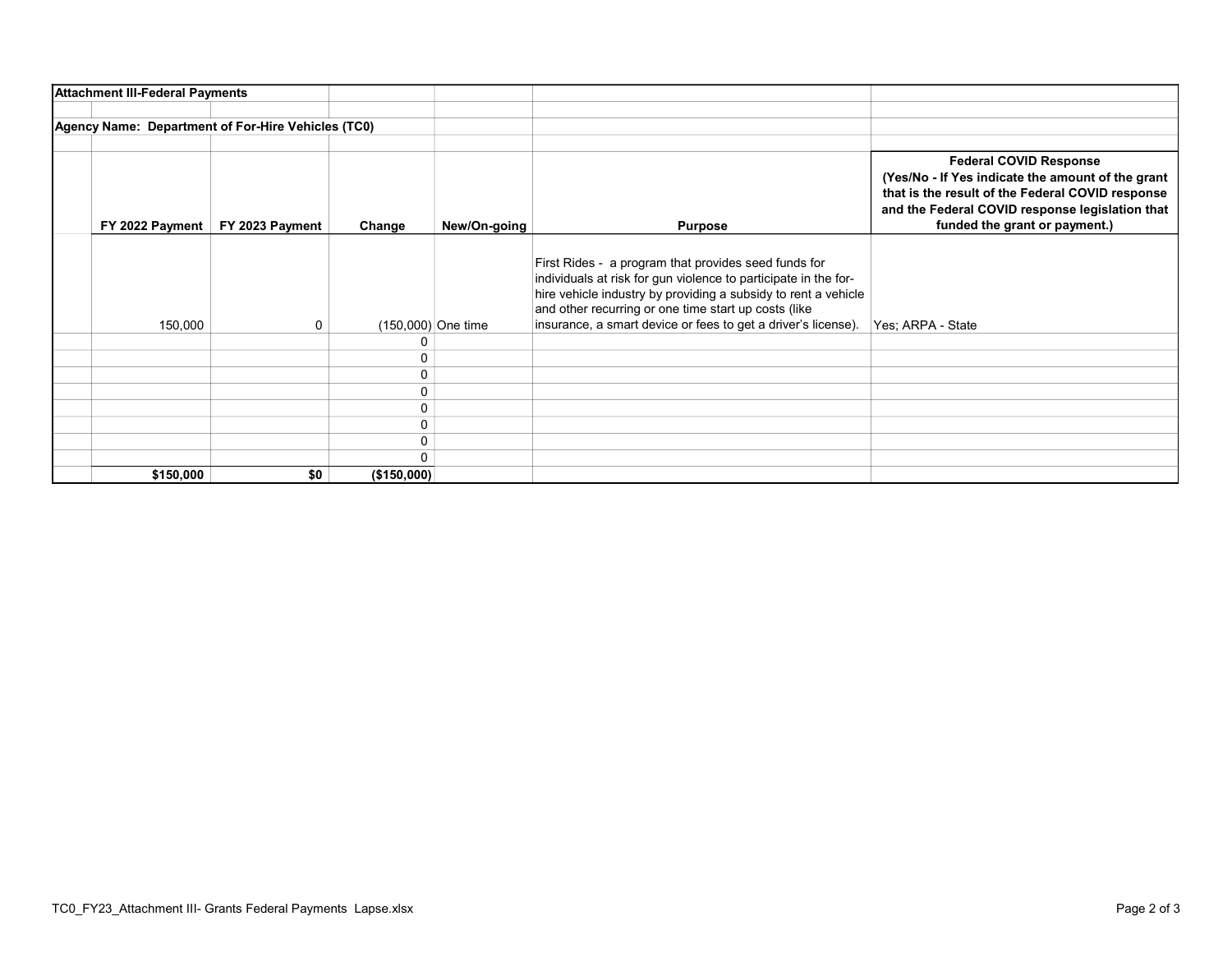| <b>Attachment III-Federal Payments</b>             |                 |             |                      |                                                                                                                                                                                                                                                                                                                    |                                                                                                                                                                                                                            |
|----------------------------------------------------|-----------------|-------------|----------------------|--------------------------------------------------------------------------------------------------------------------------------------------------------------------------------------------------------------------------------------------------------------------------------------------------------------------|----------------------------------------------------------------------------------------------------------------------------------------------------------------------------------------------------------------------------|
| Agency Name: Department of For-Hire Vehicles (TC0) |                 |             |                      |                                                                                                                                                                                                                                                                                                                    |                                                                                                                                                                                                                            |
| FY 2022 Payment                                    | FY 2023 Payment | Change      | New/On-going         | <b>Purpose</b>                                                                                                                                                                                                                                                                                                     | <b>Federal COVID Response</b><br>(Yes/No - If Yes indicate the amount of the grant<br>that is the result of the Federal COVID response<br>and the Federal COVID response legislation that<br>funded the grant or payment.) |
| 150,000                                            | 0               |             | $(150,000)$ One time | First Rides - a program that provides seed funds for<br>individuals at risk for gun violence to participate in the for-<br>hire vehicle industry by providing a subsidy to rent a vehicle<br>and other recurring or one time start up costs (like<br>insurance, a smart device or fees to get a driver's license). | Yes; ARPA - State                                                                                                                                                                                                          |
|                                                    |                 |             |                      |                                                                                                                                                                                                                                                                                                                    |                                                                                                                                                                                                                            |
|                                                    |                 | 0           |                      |                                                                                                                                                                                                                                                                                                                    |                                                                                                                                                                                                                            |
|                                                    |                 | 0           |                      |                                                                                                                                                                                                                                                                                                                    |                                                                                                                                                                                                                            |
|                                                    |                 | $\Omega$    |                      |                                                                                                                                                                                                                                                                                                                    |                                                                                                                                                                                                                            |
|                                                    |                 | 0           |                      |                                                                                                                                                                                                                                                                                                                    |                                                                                                                                                                                                                            |
|                                                    |                 | 0           |                      |                                                                                                                                                                                                                                                                                                                    |                                                                                                                                                                                                                            |
|                                                    |                 | 0           |                      |                                                                                                                                                                                                                                                                                                                    |                                                                                                                                                                                                                            |
|                                                    |                 | $\Omega$    |                      |                                                                                                                                                                                                                                                                                                                    |                                                                                                                                                                                                                            |
| \$150,000                                          | \$0             | (\$150,000) |                      |                                                                                                                                                                                                                                                                                                                    |                                                                                                                                                                                                                            |